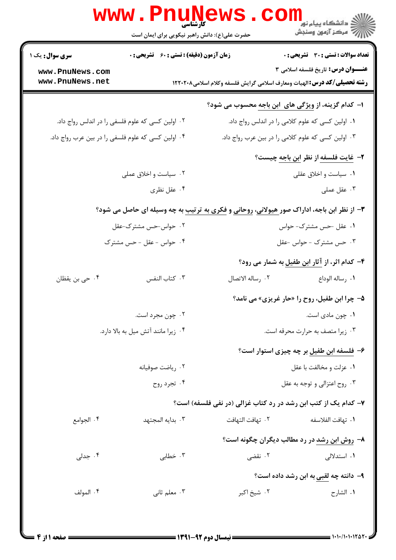|                                     | <b>www . Pnur</b><br>کارشناسی<br>حضرت علی(ع): دانش راهبر نیکویی برای ایمان است                             |                                                                                 | ڪ دانشڪاه پيا <sub>م</sub> نور<br><mark>∕</mark> > مرڪز آزمون وسنڊش |
|-------------------------------------|------------------------------------------------------------------------------------------------------------|---------------------------------------------------------------------------------|---------------------------------------------------------------------|
| <b>سری سوال :</b> یک ۱              | زمان آزمون (دقیقه) : تستی : 60 ٪ تشریحی : 0                                                                |                                                                                 | <b>تعداد سوالات : تستی : 30 - تشریحی : 0</b>                        |
| www.PnuNews.com<br>www.PnuNews.net  |                                                                                                            | <b>رشته تحصیلی/کد درس:</b> الهیات ومعارف اسلامی گرایش فلسفه وکلام اسلامی۱۲۲۰۲۰۸ | <b>عنـــوان درس:</b> تاریخ فلسفه اسلامی ۳                           |
|                                     |                                                                                                            | ا- کدام گزینه، از <u>ویژگی های ابن باجه</u> محسوب می شود؟                       |                                                                     |
|                                     | ۰۲ اولین کسی که علوم فلسفی را در اندلس رواج داد.                                                           | ۰۱ اولین کسی که علوم کلامی را در اندلس رواج داد.                                |                                                                     |
|                                     | ۰۴ اولین کسی که علوم فلسفی را در بین عرب رواج داد.                                                         | ۰۳ اولین کسی که علوم کلامی را در بین عرب رواج داد.                              |                                                                     |
|                                     |                                                                                                            |                                                                                 | <b>۲</b> – <u>غایت فلسفه</u> از نظر ا <u>بن باجه</u> چیست؟          |
|                                     | ۰۲ سیاست و اخلاق عملی                                                                                      |                                                                                 | ۰۱ سیاست و اخلاق عقلی                                               |
|                                     | ۰۴ عقل نظري                                                                                                |                                                                                 | ۰۳ عقل عملی                                                         |
|                                     | <b>۳</b> - از نظر ابن باجه، اداراک صور <u>هیولانی</u> ، روحانی و فکری به ترتیب به چه وسیله ای حاصل می شود؟ |                                                                                 |                                                                     |
|                                     | ۰۲ حواس-حس مشترک-عقل                                                                                       |                                                                                 | ۰۱ عقل حس مشترک- حواس                                               |
|                                     | ۴. حواس - عقل - حس مشترک                                                                                   |                                                                                 | ۰۳ حس مشترک - حواس -عقل                                             |
|                                     |                                                                                                            |                                                                                 | ۴- کدام اثر، از آثار ابن طفیل به شمار می رود؟                       |
| ۰۴ حی بن یقظان                      | ٠٣ كتاب النفس                                                                                              | ٢. رساله الاتصال                                                                | ٠١. رساله الوداع                                                    |
|                                     |                                                                                                            |                                                                                 | <b>۵- چرا ابن طفیل، روح را «حار غریزی» می نامد؟</b>                 |
|                                     | ۰۲ چون مجرد است.                                                                                           |                                                                                 | ۰۱ چون مادی است.                                                    |
| ۰۴ زیرا مانند آتش میل به بالا دارد. |                                                                                                            | ۰۳ زیرا متصف به حرارت محرقه است.                                                |                                                                     |
|                                     |                                                                                                            |                                                                                 | ۶– فلسفه ابن طفیل بر چه چیزی استوار است؟                            |
|                                     | ۰۲ ریاضت صوفیانه                                                                                           |                                                                                 | ٠١ عزلت و مخالفت با عقل                                             |
|                                     | ۰۴ تجرد روح                                                                                                |                                                                                 | ۰۳ روح اعتزالی و توجه به عقل                                        |
|                                     |                                                                                                            | ۷- کدام یک از کتب ابن رشد در رد کتاب غزالی (در نفی فلسفه) است؟                  |                                                                     |
| ۰۴ الجوامع                          | ۰۳ بدایه المجتهد                                                                                           | ٢.  تهافت التهافت                                                               | ٠١. تهافت الفلاسفه                                                  |
|                                     |                                                                                                            |                                                                                 | ۸- روش ابن رشد در رد مطالب دیگران چگونه است؟                        |
| ۰۴ جدلی                             | ۰۳ خطابی                                                                                                   | ۲. نقضی                                                                         | ۱. استدلالی                                                         |
|                                     |                                                                                                            |                                                                                 | ۹- دانته چه لقبی به ابن رشد داده است؟                               |
| ۰۴ المولف                           | ۰۳ معلم ثانی                                                                                               | ۰۲ شيخ اکبر                                                                     | ٠١ الشارح                                                           |
|                                     |                                                                                                            |                                                                                 |                                                                     |
|                                     |                                                                                                            |                                                                                 |                                                                     |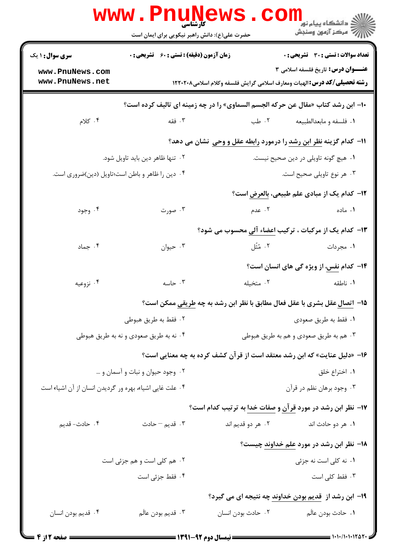|                                                         | <b>www.Pnunews</b><br>حضرت علی(ع): دانش راهبر نیکویی برای ایمان است |                                                                                          | ڪ دانشڪاه پيا <sub>م</sub> نور<br>۾ مرکز آزمون وسنجش    |  |
|---------------------------------------------------------|---------------------------------------------------------------------|------------------------------------------------------------------------------------------|---------------------------------------------------------|--|
| <b>سری سوال : ۱ یک</b>                                  | <b>زمان آزمون (دقیقه) : تستی : 60 ٪ تشریحی : 0</b>                  |                                                                                          | <b>تعداد سوالات : تستی : 30 ٪ تشریحی : 0</b>            |  |
| www.PnuNews.com                                         |                                                                     |                                                                                          | <b>عنـــوان درس:</b> تاریخ فلسفه اسلامی ۳               |  |
| www.PnuNews.net                                         |                                                                     | <b>رشته تحصیلی/کد درس: ا</b> لهیات ومعارف اسلامی گرایش فلسفه وکلام اسلامی۱۲۲۰۲۰۸         |                                                         |  |
|                                                         |                                                                     | ∙ا– ابن رشد کتاب «مقال عن حرکه الجسم السماوی» را در چه زمینه ای تالیف کرده است؟          |                                                         |  |
| ۰۴ کلام                                                 | ۰۳ فقه                                                              | ۰۲ طب                                                                                    | ۰۱ فلسفه و مابعدالطبیعه                                 |  |
|                                                         |                                                                     | 11- كدام گزينه نظر ابن رشد را درمورد رابطه عقل و وحي نشان مي دهد؟                        |                                                         |  |
| ۰۲ تنها ظاهر دین باید تاویل شود.                        |                                                                     |                                                                                          | ٠١ هيچ گونه تاويلي در دين صحيح نيست.                    |  |
| ۰۴ دین را ظاهر و باطن است؛تاویل (دین)ضروری است.         |                                                                     |                                                                                          | ۰۳ هر نوع تاویلی صحیح است.                              |  |
|                                                         |                                                                     |                                                                                          | <b>۱۲</b> – کدام یک از مبادی علم طبیعی، بالعرض است؟     |  |
| ۰۴ وجود                                                 | ۰۳ صورت                                                             | . $\mathsf{S}$ . Then $\mathsf{S}$ and $\mathsf{S}$ and $\mathsf{S}$                     | ۰۱ ماده                                                 |  |
|                                                         |                                                                     | ۱۳- کدام یک از مرکبات ، ترکیب اعضاء آل <sub>ی</sub> محسوب می شود؟                        |                                                         |  |
| ۰۴ جماد                                                 | ۰۳ حیوان                                                            |                                                                                          | ١. مجردات متَّل                                         |  |
|                                                         |                                                                     |                                                                                          | <b>۱۴</b> - کدام <u>نفس</u> ، از ویژه گی های انسان است؟ |  |
| ۰۴ نزوعیه                                               | ۰۳ حاسه                                                             | ۰۲ متخیله                                                                                | ۰۱ ناطقه                                                |  |
|                                                         |                                                                     | 1۵– ا <u>تصال</u> عقل بشری با عقل فعال مطابق با نظر ابن رشد به چه <u>طریقی</u> ممکن است؟ |                                                         |  |
| ۰۲ فقط به طريق هبوطي                                    |                                                                     |                                                                                          | ٠١ فقط به طريق صعودي                                    |  |
| ۰۴ نه به طريق صعودي و نه به طريق هبوطي                  |                                                                     | ۰۳ هم به طريق صعودي و هم به طريق هبوطي                                                   |                                                         |  |
|                                                         |                                                                     | ۱۶- «دلیل عنایت» که ابن رشد معتقد است از قرآن کشف کرده به چه معنایی است؟                 |                                                         |  |
| ۰۲ وجود حیوان و نبات و آسمان و …                        |                                                                     | ۰۱ اختراع خلق                                                                            |                                                         |  |
| ۰۴ علت غایی اشیاء، بهره ور گردیدن انسان از آن اشیاء است |                                                                     | ۰۳ وجود برهان نظم در قرآن                                                                |                                                         |  |
|                                                         |                                                                     | ۱۷- نظر ابن رشد در مورد <u>قرآن و صفات خدا</u> به ترتیب کدام است؟                        |                                                         |  |
| ۰۴ حادث- قدیم                                           | تا قديم – حادث $\cdot$                                              | ۰۲ هر دو قديم اند                                                                        | ۰۱ هر دو حادث اند                                       |  |
|                                                         |                                                                     |                                                                                          | ۱۸– نظر ابن رشد در مورد علم خداوند چیست؟                |  |
| ٢. هم كلى است و هم جزئى است                             |                                                                     |                                                                                          | ۰۱ نه کلی است نه جزئی                                   |  |
|                                                         | ۰۴ فقط جزئی است                                                     |                                                                                          | ۰۳ فقط کلی است                                          |  |
|                                                         |                                                                     | ۱۹- ابن رشد از ق <u>دیم بودن خداوند</u> چه نتیجه ای می گیرد؟                             |                                                         |  |
| ۰۴ قديم بودن انسان                                      | ۰۳ قديم بودن عالَم                                                  | ٠٢ حادث بودن انسان                                                                       | ٠١. حادث بودن عالَم                                     |  |
|                                                         |                                                                     |                                                                                          |                                                         |  |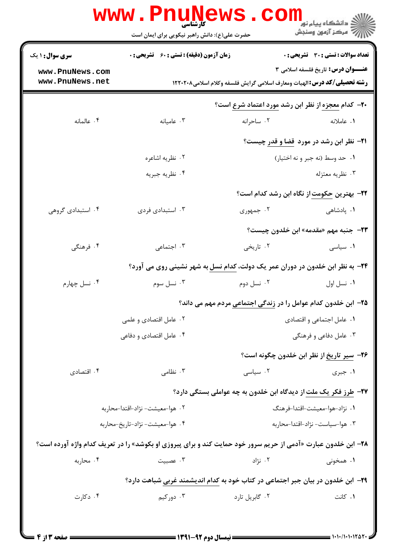| <b>سری سوال : ۱ یک</b>          | <b>زمان آزمون (دقیقه) : تستی : 60 ٪ تشریحی : 0</b>                                                                    |                                 | تعداد سوالات : تستى : 30 قشريحى : 0                                           |
|---------------------------------|-----------------------------------------------------------------------------------------------------------------------|---------------------------------|-------------------------------------------------------------------------------|
| www.PnuNews.com                 |                                                                                                                       |                                 | <b>عنـــوان درس:</b> تاریخ فلسفه اسلامی ۳                                     |
| www.PnuNews.net                 | <b>رشته تحصیلی/کد درس: ا</b> لهیات ومعارف اسلامی گرایش فلسفه وکلام اسلامی۱۲۲۰۲۰۸                                      |                                 |                                                                               |
|                                 |                                                                                                                       |                                 | +۲- کدام معجزه از نظر ابن رشد مورد اعتماد شرع است؟                            |
| ۰۴ عالمانه                      | ۰۳ عامیانه                                                                                                            | ۰۲ ساحرانه                      | ۰۱ عاملانه                                                                    |
|                                 |                                                                                                                       |                                 | <b>۲۱</b> - نظر ابن رشد در مورد قضا و قدر چیست؟                               |
|                                 | ۰۲ نظریه اشاعره                                                                                                       | ٠١. حد وسط (نه جبر و نه اختيار) |                                                                               |
|                                 | ۰۴ نظريه جبريه                                                                                                        |                                 | ۰۳ نظريه معتزله                                                               |
|                                 |                                                                                                                       |                                 | <b>۲۲</b> - بهترین حکومت از نگاه ابن رشد کدام است؟                            |
| ۰۴ استبدادی گروهی               | ۰۳ استبدادی فردی                                                                                                      | ۰۲ جمهوری                       | ۰۱ پادشاهی                                                                    |
|                                 |                                                                                                                       |                                 | ٢٣- جنبه مهم «مقدمه» ابن خلدون چيست؟                                          |
| ۰۴ فرهنگی                       | ۰۳ اجتماعی                                                                                                            | ۰۲ تاریخی                       | ۰۱ سیاسی                                                                      |
|                                 | ۲۴- به نظر ابن خلدون در دوران عمر یک دولت، کدام نسل به شهر نشینی روی می آورد؟                                         |                                 |                                                                               |
| ۰۴ نسل چهارم                    | ۰۳ نسل سوم                                                                                                            | ۰۲ نسل دوم                      | ٠١ نسل اول                                                                    |
|                                 |                                                                                                                       |                                 | <b>۲۵</b> – ابن خلدون کدام عوامل را در <u>زندگی اجتماعی</u> مردم مهم می داند؟ |
|                                 | ۰۲ عامل اقتصادی و علمی                                                                                                | ٠١ عامل اجتماعي و اقتصادي       |                                                                               |
|                                 | ۰۴ عامل اقتصادی و دفاعی                                                                                               | ۰۳ عامل دفاعی و فرهنگی          |                                                                               |
|                                 |                                                                                                                       |                                 | ۲۶– سیر تاریخ از نظر ابن خلدون چگونه است؟                                     |
| ۰۴ اقتصادی                      | ۰۳ نظامی                                                                                                              | ۰۲ سیاسی                        | ۰۱ جبری                                                                       |
|                                 |                                                                                                                       |                                 | ۲۷– طرز فکر یک ملت از دیدگاه ابن خلدون به چه عواملی بستگی دارد؟               |
|                                 | ۰۲ هوا–معيشت– نژاد–اقتدا–محاربه                                                                                       | ٠١ نژاد-هوا-معيشت-اقتدا-فرهنگ   |                                                                               |
| ۰۴ هوا-معیشت- نژاد-تاریخ-محاربه |                                                                                                                       |                                 | ۰۳ هوا-سياست- نژاد-اقتدا-محاربه                                               |
|                                 | <b>۲۸</b> - ابن خلدون عبارت «آدمی از حریم سرور خود حمایت کند و برای پیروزی او بکوشد» را در تعریف کدام واژه آورده است؟ |                                 |                                                                               |
| ۰۴ محاربه                       | ۰۳ عصبیت                                                                                                              | ۰۲ نژاد                         | ۱. همخونی                                                                     |
|                                 | ۲۹- ابن خلدون در بیان جبر اجتماعی در کتاب خود به کدام اندیشمند غربی شباهت دارد؟                                       |                                 |                                                                               |
| ۰۴ دکارت                        | ۰۳ دورکیم                                                                                                             | ۰۲ گابریل تارد                  | ۰۱ کانت                                                                       |